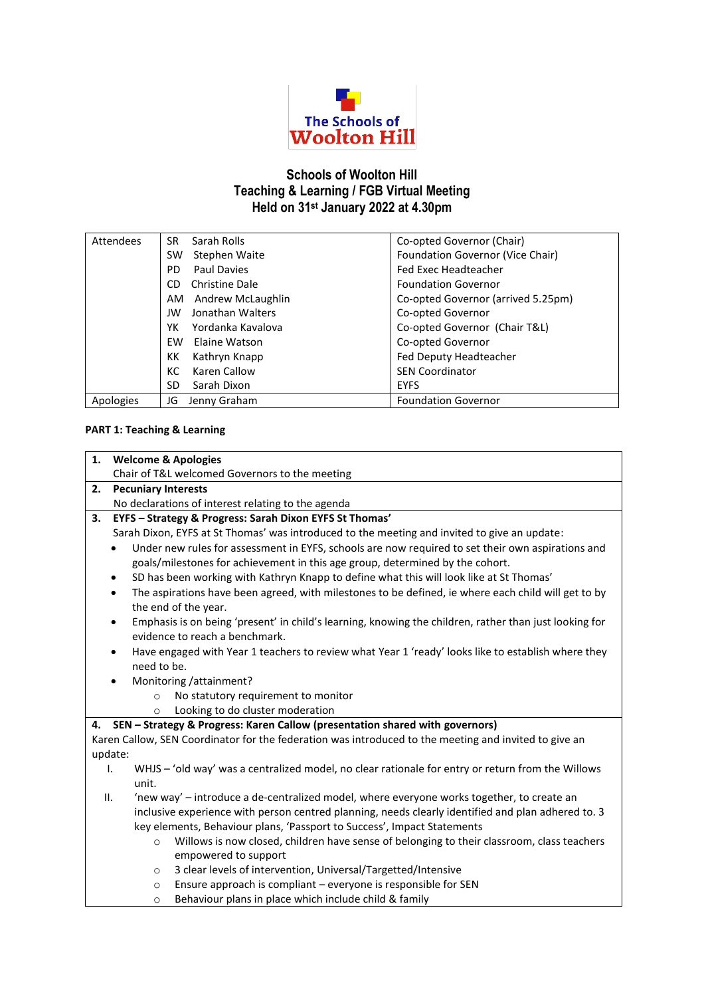

# **Schools of Woolton Hill Teaching & Learning / FGB Virtual Meeting Held on 31st January 2022 at 4.30pm**

| Attendees | Sarah Rolls<br>SR.        | Co-opted Governor (Chair)          |
|-----------|---------------------------|------------------------------------|
|           | Stephen Waite<br>SW       | Foundation Governor (Vice Chair)   |
|           | <b>Paul Davies</b><br>PD. | <b>Fed Exec Headteacher</b>        |
|           | Christine Dale<br>CD      | <b>Foundation Governor</b>         |
|           | Andrew McLaughlin<br>AM   | Co-opted Governor (arrived 5.25pm) |
|           | Jonathan Walters<br>JW    | Co-opted Governor                  |
|           | Yordanka Kavalova<br>YΚ   | Co-opted Governor (Chair T&L)      |
|           | EW<br>Elaine Watson       | Co-opted Governor                  |
|           | Kathryn Knapp<br>КK       | Fed Deputy Headteacher             |
|           | Karen Callow<br>КC        | <b>SEN Coordinator</b>             |
|           | Sarah Dixon<br>SD         | <b>EYFS</b>                        |
| Apologies | Jenny Graham<br>JG        | <b>Foundation Governor</b>         |

## **PART 1: Teaching & Learning**

| 1.          |                                                                                                                                                       |  |  |  |
|-------------|-------------------------------------------------------------------------------------------------------------------------------------------------------|--|--|--|
|             | <b>Welcome &amp; Apologies</b>                                                                                                                        |  |  |  |
|             | Chair of T&L welcomed Governors to the meeting                                                                                                        |  |  |  |
| 2.          | <b>Pecuniary Interests</b>                                                                                                                            |  |  |  |
|             | No declarations of interest relating to the agenda                                                                                                    |  |  |  |
| 3.          | EYFS - Strategy & Progress: Sarah Dixon EYFS St Thomas'                                                                                               |  |  |  |
|             | Sarah Dixon, EYFS at St Thomas' was introduced to the meeting and invited to give an update:                                                          |  |  |  |
|             | Under new rules for assessment in EYFS, schools are now required to set their own aspirations and                                                     |  |  |  |
|             | goals/milestones for achievement in this age group, determined by the cohort.                                                                         |  |  |  |
|             | SD has been working with Kathryn Knapp to define what this will look like at St Thomas'<br>$\bullet$                                                  |  |  |  |
|             | The aspirations have been agreed, with milestones to be defined, ie where each child will get to by<br>$\bullet$<br>the end of the year.              |  |  |  |
|             | Emphasis is on being 'present' in child's learning, knowing the children, rather than just looking for<br>$\bullet$<br>evidence to reach a benchmark. |  |  |  |
|             | Have engaged with Year 1 teachers to review what Year 1 'ready' looks like to establish where they<br>$\bullet$                                       |  |  |  |
| need to be. |                                                                                                                                                       |  |  |  |
|             | Monitoring /attainment?                                                                                                                               |  |  |  |
|             | No statutory requirement to monitor<br>$\circ$                                                                                                        |  |  |  |
|             | Looking to do cluster moderation<br>$\circ$                                                                                                           |  |  |  |
| 4.          | SEN - Strategy & Progress: Karen Callow (presentation shared with governors)                                                                          |  |  |  |
|             | Karen Callow, SEN Coordinator for the federation was introduced to the meeting and invited to give an                                                 |  |  |  |
| update:     |                                                                                                                                                       |  |  |  |
| Ι.          | WHJS - 'old way' was a centralized model, no clear rationale for entry or return from the Willows                                                     |  |  |  |
|             | unit.                                                                                                                                                 |  |  |  |
| П.          | 'new way' - introduce a de-centralized model, where everyone works together, to create an                                                             |  |  |  |
|             | inclusive experience with person centred planning, needs clearly identified and plan adhered to. 3                                                    |  |  |  |
|             | key elements, Behaviour plans, 'Passport to Success', Impact Statements                                                                               |  |  |  |
|             | Willows is now closed, children have sense of belonging to their classroom, class teachers<br>$\circ$                                                 |  |  |  |
|             | empowered to support                                                                                                                                  |  |  |  |
|             | 3 clear levels of intervention, Universal/Targetted/Intensive<br>$\circ$                                                                              |  |  |  |
|             | Ensure approach is compliant - everyone is responsible for SEN<br>$\Omega$                                                                            |  |  |  |
|             | Behaviour plans in place which include child & family<br>$\circ$                                                                                      |  |  |  |
|             |                                                                                                                                                       |  |  |  |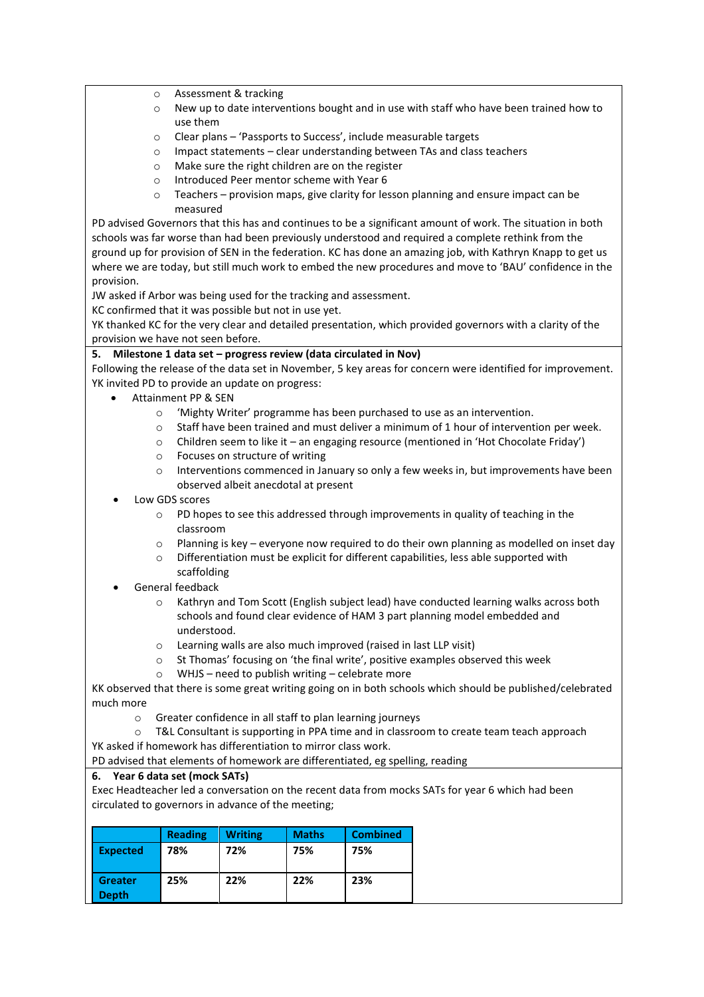- o Assessment & tracking
- $\circ$  New up to date interventions bought and in use with staff who have been trained how to use them
- o Clear plans 'Passports to Success', include measurable targets
- o Impact statements clear understanding between TAs and class teachers
- o Make sure the right children are on the register
- o Introduced Peer mentor scheme with Year 6
- o Teachers provision maps, give clarity for lesson planning and ensure impact can be measured

PD advised Governors that this has and continues to be a significant amount of work. The situation in both schools was far worse than had been previously understood and required a complete rethink from the ground up for provision of SEN in the federation. KC has done an amazing job, with Kathryn Knapp to get us where we are today, but still much work to embed the new procedures and move to 'BAU' confidence in the provision.

JW asked if Arbor was being used for the tracking and assessment.

KC confirmed that it was possible but not in use yet.

YK thanked KC for the very clear and detailed presentation, which provided governors with a clarity of the provision we have not seen before.

## **5. Milestone 1 data set – progress review (data circulated in Nov)**

Following the release of the data set in November, 5 key areas for concern were identified for improvement. YK invited PD to provide an update on progress:

- Attainment PP & SEN
	- o 'Mighty Writer' programme has been purchased to use as an intervention.
	- $\circ$  Staff have been trained and must deliver a minimum of 1 hour of intervention per week.
	- o Children seem to like it an engaging resource (mentioned in 'Hot Chocolate Friday')
	- o Focuses on structure of writing
	- $\circ$  Interventions commenced in January so only a few weeks in, but improvements have been observed albeit anecdotal at present
- Low GDS scores
	- o PD hopes to see this addressed through improvements in quality of teaching in the classroom
	- o Planning is key everyone now required to do their own planning as modelled on inset day
	- o Differentiation must be explicit for different capabilities, less able supported with scaffolding
- General feedback
	- o Kathryn and Tom Scott (English subject lead) have conducted learning walks across both schools and found clear evidence of HAM 3 part planning model embedded and understood.
	- o Learning walls are also much improved (raised in last LLP visit)
	- o St Thomas' focusing on 'the final write', positive examples observed this week
	- $\circ$  WHJS need to publish writing celebrate more

KK observed that there is some great writing going on in both schools which should be published/celebrated much more

o Greater confidence in all staff to plan learning journeys

o T&L Consultant is supporting in PPA time and in classroom to create team teach approach YK asked if homework has differentiation to mirror class work.

PD advised that elements of homework are differentiated, eg spelling, reading

## **6. Year 6 data set (mock SATs)**

Exec Headteacher led a conversation on the recent data from mocks SATs for year 6 which had been circulated to governors in advance of the meeting;

|                                | <b>Reading</b> | <b>Writing</b> | <b>Maths</b> | <b>Combined</b> |
|--------------------------------|----------------|----------------|--------------|-----------------|
| <b>Expected</b>                | 78%            | 72%            | 75%          | 75%             |
| <b>Greater</b><br><b>Depth</b> | 25%            | 22%            | 22%          | 23%             |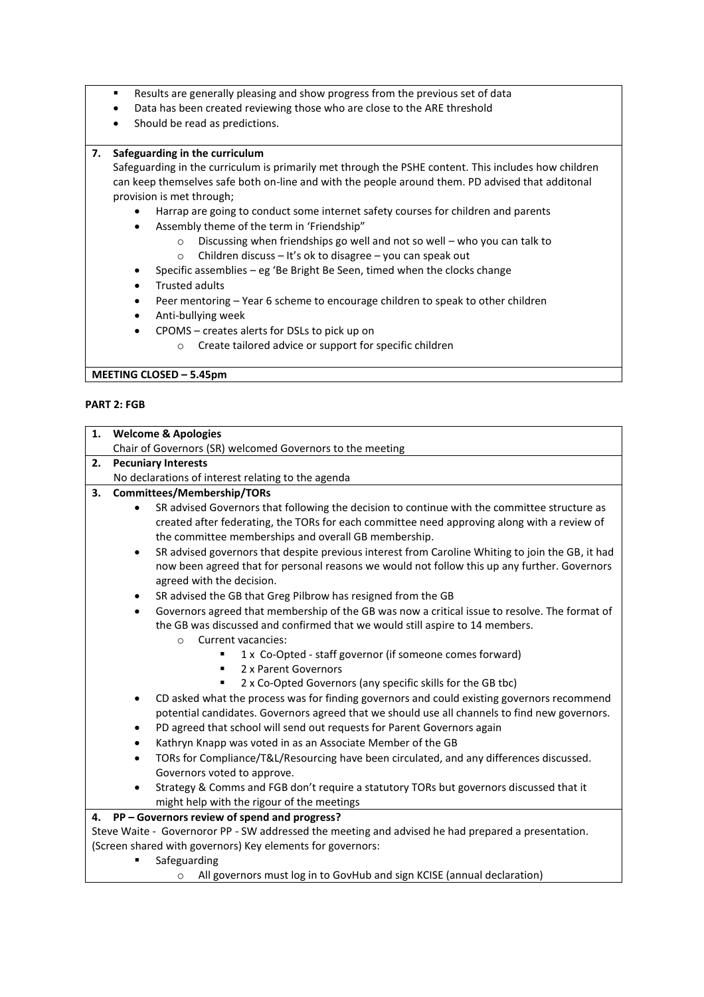- Results are generally pleasing and show progress from the previous set of data
- Data has been created reviewing those who are close to the ARE threshold
- Should be read as predictions.

#### **7. Safeguarding in the curriculum**

Safeguarding in the curriculum is primarily met through the PSHE content. This includes how children can keep themselves safe both on-line and with the people around them. PD advised that additonal provision is met through;

- Harrap are going to conduct some internet safety courses for children and parents
- Assembly theme of the term in 'Friendship"
	- o Discussing when friendships go well and not so well who you can talk to
	- o Children discuss It's ok to disagree you can speak out
- Specific assemblies eg 'Be Bright Be Seen, timed when the clocks change
- Trusted adults
- Peer mentoring Year 6 scheme to encourage children to speak to other children
- Anti-bullying week
	- CPOMS creates alerts for DSLs to pick up on
		- o Create tailored advice or support for specific children

**MEETING CLOSED – 5.45pm**

#### **PART 2: FGB**

| Chair of Governors (SR) welcomed Governors to the meeting<br><b>Pecuniary Interests</b><br>No declarations of interest relating to the agenda<br><b>Committees/Membership/TORs</b><br>SR advised Governors that following the decision to continue with the committee structure as                                                                                                                                                                   |
|------------------------------------------------------------------------------------------------------------------------------------------------------------------------------------------------------------------------------------------------------------------------------------------------------------------------------------------------------------------------------------------------------------------------------------------------------|
|                                                                                                                                                                                                                                                                                                                                                                                                                                                      |
|                                                                                                                                                                                                                                                                                                                                                                                                                                                      |
|                                                                                                                                                                                                                                                                                                                                                                                                                                                      |
| created after federating, the TORs for each committee need approving along with a review of<br>the committee memberships and overall GB membership.<br>SR advised governors that despite previous interest from Caroline Whiting to join the GB, it had<br>now been agreed that for personal reasons we would not follow this up any further. Governors<br>agreed with the decision.<br>SR advised the GB that Greg Pilbrow has resigned from the GB |
| Governors agreed that membership of the GB was now a critical issue to resolve. The format of<br>the GB was discussed and confirmed that we would still aspire to 14 members.<br>Current vacancies:<br>$\circ$<br>1 x Co-Opted - staff governor (if someone comes forward)<br>2 x Parent Governors<br>٠<br>2 x Co-Opted Governors (any specific skills for the GB tbc)                                                                               |
| CD asked what the process was for finding governors and could existing governors recommend<br>potential candidates. Governors agreed that we should use all channels to find new governors.                                                                                                                                                                                                                                                          |
| PD agreed that school will send out requests for Parent Governors again                                                                                                                                                                                                                                                                                                                                                                              |
| Kathryn Knapp was voted in as an Associate Member of the GB                                                                                                                                                                                                                                                                                                                                                                                          |
| TORs for Compliance/T&L/Resourcing have been circulated, and any differences discussed.<br>Governors voted to approve.                                                                                                                                                                                                                                                                                                                               |
| Strategy & Comms and FGB don't require a statutory TORs but governors discussed that it<br>might help with the rigour of the meetings                                                                                                                                                                                                                                                                                                                |
|                                                                                                                                                                                                                                                                                                                                                                                                                                                      |

- areguarding
	- o All governors must log in to GovHub and sign KCISE (annual declaration)